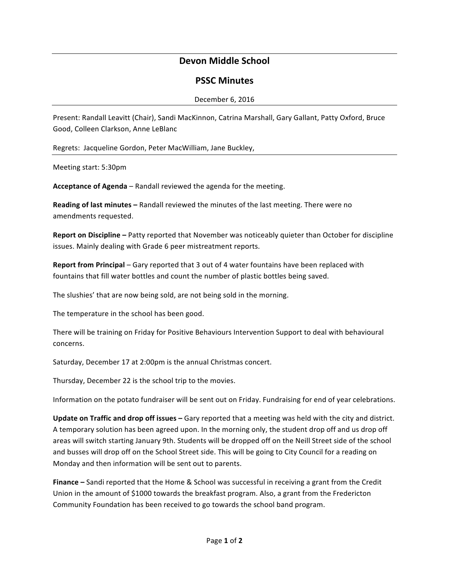# **Devon Middle School**

### **PSSC Minutes**

#### December 6, 2016

Present: Randall Leavitt (Chair), Sandi MacKinnon, Catrina Marshall, Gary Gallant, Patty Oxford, Bruce Good, Colleen Clarkson, Anne LeBlanc

Regrets: Jacqueline Gordon, Peter MacWilliam, Jane Buckley,

Meeting start: 5:30pm

**Acceptance of Agenda** – Randall reviewed the agenda for the meeting.

**Reading of last minutes** – Randall reviewed the minutes of the last meeting. There were no amendments requested.

**Report on Discipline** – Patty reported that November was noticeably quieter than October for discipline issues. Mainly dealing with Grade 6 peer mistreatment reports.

**Report from Principal** – Gary reported that 3 out of 4 water fountains have been replaced with fountains that fill water bottles and count the number of plastic bottles being saved.

The slushies' that are now being sold, are not being sold in the morning.

The temperature in the school has been good.

There will be training on Friday for Positive Behaviours Intervention Support to deal with behavioural concerns.

Saturday, December 17 at 2:00pm is the annual Christmas concert.

Thursday, December 22 is the school trip to the movies.

Information on the potato fundraiser will be sent out on Friday. Fundraising for end of year celebrations.

**Update on Traffic and drop off issues** – Gary reported that a meeting was held with the city and district. A temporary solution has been agreed upon. In the morning only, the student drop off and us drop off areas will switch starting January 9th. Students will be dropped off on the Neill Street side of the school and busses will drop off on the School Street side. This will be going to City Council for a reading on Monday and then information will be sent out to parents.

**Finance** – Sandi reported that the Home & School was successful in receiving a grant from the Credit Union in the amount of \$1000 towards the breakfast program. Also, a grant from the Fredericton Community Foundation has been received to go towards the school band program.